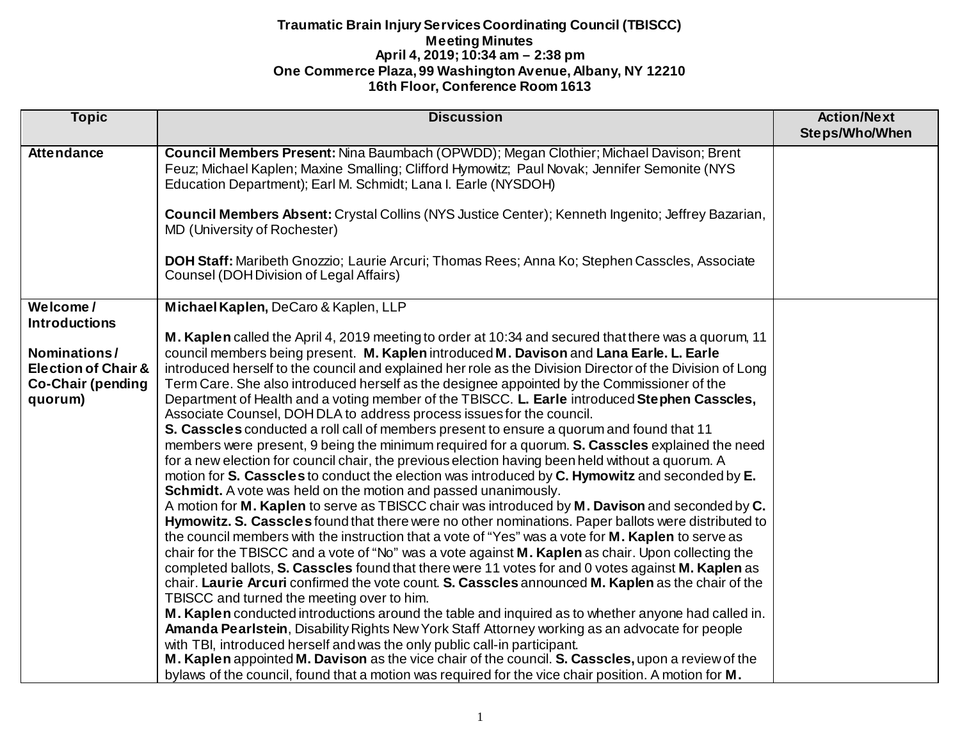| <b>Topic</b>                                                                                                              | <b>Discussion</b>                                                                                                                                                                                                                                                                                                                                                                                                                                                                                                                                                                                                                                                                                                                                                                                                                                                                                                                                                                                                                                                                                                                                                                                                                                                                                                                                                                                                                                                                                                                                                                                                                                                                                                                                                                                                                                                                                                                                                                                                                                                                                                                                                                                                                                                                          | <b>Action/Next</b><br>Steps/Who/When |
|---------------------------------------------------------------------------------------------------------------------------|--------------------------------------------------------------------------------------------------------------------------------------------------------------------------------------------------------------------------------------------------------------------------------------------------------------------------------------------------------------------------------------------------------------------------------------------------------------------------------------------------------------------------------------------------------------------------------------------------------------------------------------------------------------------------------------------------------------------------------------------------------------------------------------------------------------------------------------------------------------------------------------------------------------------------------------------------------------------------------------------------------------------------------------------------------------------------------------------------------------------------------------------------------------------------------------------------------------------------------------------------------------------------------------------------------------------------------------------------------------------------------------------------------------------------------------------------------------------------------------------------------------------------------------------------------------------------------------------------------------------------------------------------------------------------------------------------------------------------------------------------------------------------------------------------------------------------------------------------------------------------------------------------------------------------------------------------------------------------------------------------------------------------------------------------------------------------------------------------------------------------------------------------------------------------------------------------------------------------------------------------------------------------------------------|--------------------------------------|
| <b>Attendance</b>                                                                                                         | Council Members Present: Nina Baumbach (OPWDD); Megan Clothier; Michael Davison; Brent<br>Feuz; Michael Kaplen; Maxine Smalling; Clifford Hymowitz; Paul Novak; Jennifer Semonite (NYS<br>Education Department); Earl M. Schmidt; Lana I. Earle (NYSDOH)<br>Council Members Absent: Crystal Collins (NYS Justice Center); Kenneth Ingenito; Jeffrey Bazarian,<br>MD (University of Rochester)<br>DOH Staff: Maribeth Gnozzio; Laurie Arcuri; Thomas Rees; Anna Ko; Stephen Casscles, Associate<br><b>Counsel (DOH Division of Legal Affairs)</b>                                                                                                                                                                                                                                                                                                                                                                                                                                                                                                                                                                                                                                                                                                                                                                                                                                                                                                                                                                                                                                                                                                                                                                                                                                                                                                                                                                                                                                                                                                                                                                                                                                                                                                                                           |                                      |
| Welcome/<br><b>Introductions</b><br>Nominations/<br><b>Election of Chair &amp;</b><br><b>Co-Chair (pending</b><br>quorum) | Michael Kaplen, DeCaro & Kaplen, LLP<br>M. Kaplen called the April 4, 2019 meeting to order at 10:34 and secured that there was a quorum, 11<br>council members being present. M. Kaplen introduced M. Davison and Lana Earle. L. Earle<br>introduced herself to the council and explained her role as the Division Director of the Division of Long<br>Term Care. She also introduced herself as the designee appointed by the Commissioner of the<br>Department of Health and a voting member of the TBISCC. L. Earle introduced Stephen Casscles,<br>Associate Counsel, DOH DLA to address process issues for the council.<br>S. Casscles conducted a roll call of members present to ensure a quorum and found that 11<br>members were present, 9 being the minimum required for a quorum. S. Casscles explained the need<br>for a new election for council chair, the previous election having been held without a quorum. A<br>motion for S. Casscles to conduct the election was introduced by C. Hymowitz and seconded by E.<br>Schmidt. A vote was held on the motion and passed unanimously.<br>A motion for M. Kaplen to serve as TBISCC chair was introduced by M. Davison and seconded by C.<br>Hymowitz. S. Casscles found that there were no other nominations. Paper ballots were distributed to<br>the council members with the instruction that a vote of "Yes" was a vote for M. Kaplen to serve as<br>chair for the TBISCC and a vote of "No" was a vote against M. Kaplen as chair. Upon collecting the<br>completed ballots, S. Casscles found that there were 11 votes for and 0 votes against M. Kaplen as<br>chair. Laurie Arcuri confirmed the vote count. S. Casscles announced M. Kaplen as the chair of the<br>TBISCC and turned the meeting over to him.<br>M. Kaplen conducted introductions around the table and inquired as to whether anyone had called in.<br>Amanda Pearlstein, Disability Rights New York Staff Attorney working as an advocate for people<br>with TBI, introduced herself and was the only public call-in participant.<br>M. Kaplen appointed M. Davison as the vice chair of the council. S. Casscles, upon a review of the<br>bylaws of the council, found that a motion was required for the vice chair position. A motion for M. |                                      |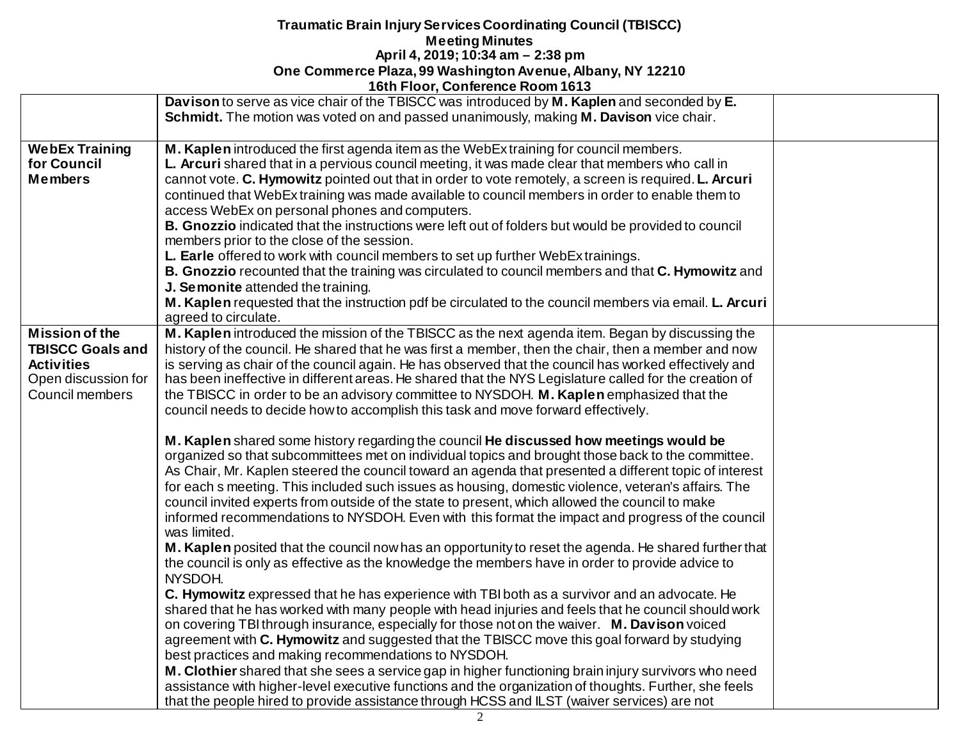|                                                                                                                 | Davison to serve as vice chair of the TBISCC was introduced by M. Kaplen and seconded by E.<br>Schmidt. The motion was voted on and passed unanimously, making M. Davison vice chair.                                                                                                                                                                                                                                                                                                                                                                                                                                                                                                                                                                                                                                                                                                                                                                                                                                                                                                                                                                                                                                                                                                                                                                                                                                                                                                                                                      |  |
|-----------------------------------------------------------------------------------------------------------------|--------------------------------------------------------------------------------------------------------------------------------------------------------------------------------------------------------------------------------------------------------------------------------------------------------------------------------------------------------------------------------------------------------------------------------------------------------------------------------------------------------------------------------------------------------------------------------------------------------------------------------------------------------------------------------------------------------------------------------------------------------------------------------------------------------------------------------------------------------------------------------------------------------------------------------------------------------------------------------------------------------------------------------------------------------------------------------------------------------------------------------------------------------------------------------------------------------------------------------------------------------------------------------------------------------------------------------------------------------------------------------------------------------------------------------------------------------------------------------------------------------------------------------------------|--|
| <b>WebEx Training</b><br>for Council<br><b>Members</b>                                                          | M. Kaplen introduced the first agenda item as the WebEx training for council members.<br>L. Arcuri shared that in a pervious council meeting, it was made clear that members who call in<br>cannot vote. C. Hymowitz pointed out that in order to vote remotely, a screen is required. L. Arcuri<br>continued that WebEx training was made available to council members in order to enable them to<br>access WebEx on personal phones and computers.<br>B. Gnozzio indicated that the instructions were left out of folders but would be provided to council<br>members prior to the close of the session.<br>L. Earle offered to work with council members to set up further WebEx trainings.<br>B. Gnozzio recounted that the training was circulated to council members and that C. Hymowitz and<br>J. Semonite attended the training.<br>M. Kaplen requested that the instruction pdf be circulated to the council members via email. L. Arcuri<br>agreed to circulate.                                                                                                                                                                                                                                                                                                                                                                                                                                                                                                                                                                |  |
| <b>Mission of the</b><br><b>TBISCC Goals and</b><br><b>Activities</b><br>Open discussion for<br>Council members | M. Kaplen introduced the mission of the TBISCC as the next agenda item. Began by discussing the<br>history of the council. He shared that he was first a member, then the chair, then a member and now<br>is serving as chair of the council again. He has observed that the council has worked effectively and<br>has been ineffective in different areas. He shared that the NYS Legislature called for the creation of<br>the TBISCC in order to be an advisory committee to NYSDOH. M. Kaplen emphasized that the<br>council needs to decide how to accomplish this task and move forward effectively.                                                                                                                                                                                                                                                                                                                                                                                                                                                                                                                                                                                                                                                                                                                                                                                                                                                                                                                                 |  |
|                                                                                                                 | M. Kaplen shared some history regarding the council He discussed how meetings would be<br>organized so that subcommittees met on individual topics and brought those back to the committee.<br>As Chair, Mr. Kaplen steered the council toward an agenda that presented a different topic of interest<br>for each s meeting. This included such issues as housing, domestic violence, veteran's affairs. The<br>council invited experts from outside of the state to present, which allowed the council to make<br>informed recommendations to NYSDOH. Even with this format the impact and progress of the council<br>was limited.<br>M. Kaplen posited that the council now has an opportunity to reset the agenda. He shared further that<br>the council is only as effective as the knowledge the members have in order to provide advice to<br>NYSDOH.<br>C. Hymowitz expressed that he has experience with TBI both as a survivor and an advocate. He<br>shared that he has worked with many people with head injuries and feels that he council should work<br>on covering TBI through insurance, especially for those not on the waiver. M. Davison voiced<br>agreement with C. Hymowitz and suggested that the TBISCC move this goal forward by studying<br>best practices and making recommendations to NYSDOH.<br>M. Clothier shared that she sees a service gap in higher functioning brain injury survivors who need<br>assistance with higher-level executive functions and the organization of thoughts. Further, she feels |  |
|                                                                                                                 | that the people hired to provide assistance through HCSS and ILST (waiver services) are not                                                                                                                                                                                                                                                                                                                                                                                                                                                                                                                                                                                                                                                                                                                                                                                                                                                                                                                                                                                                                                                                                                                                                                                                                                                                                                                                                                                                                                                |  |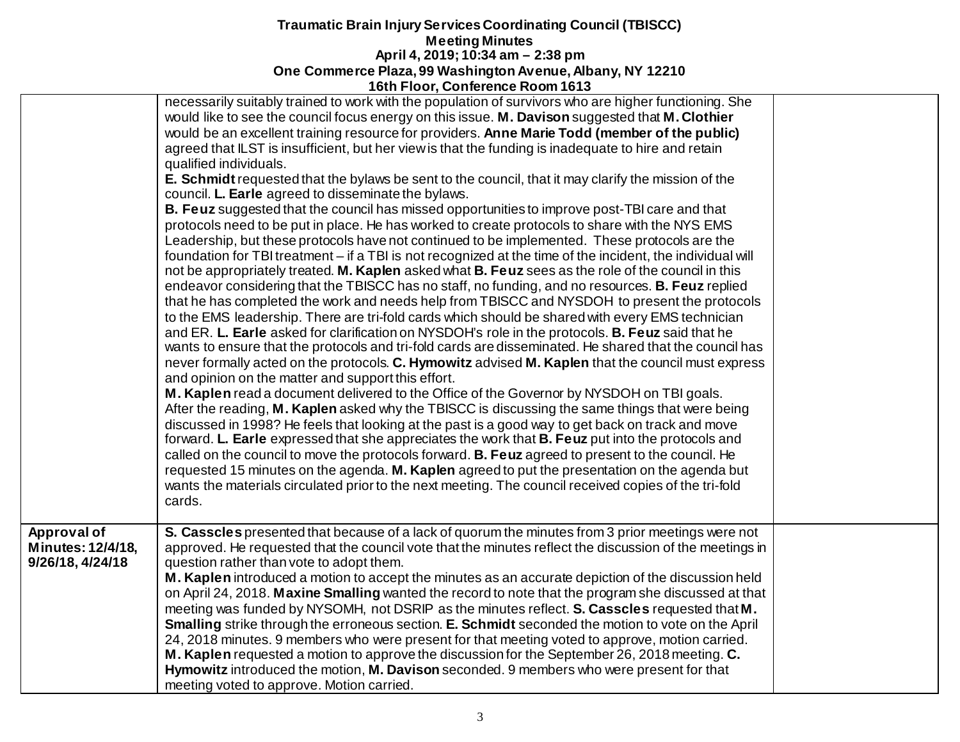|                                                      | TOUT FIGOL, COMPLETE ROOM TO 19                                                                                                                                                                                                                                                                                                                                                                                                                                                                                                                                                                                                                                                                                                                                                                                                                                                                                                                                                                                                                                                                                                                                                                                                                                                                                                                                                                                                                                                                                                                                                                                                                                                                                                                                                                                                                                                                                                                                                                                                                                                                                                                                                                                                                                                                                                                                                                                                                                                                                                                               |  |
|------------------------------------------------------|---------------------------------------------------------------------------------------------------------------------------------------------------------------------------------------------------------------------------------------------------------------------------------------------------------------------------------------------------------------------------------------------------------------------------------------------------------------------------------------------------------------------------------------------------------------------------------------------------------------------------------------------------------------------------------------------------------------------------------------------------------------------------------------------------------------------------------------------------------------------------------------------------------------------------------------------------------------------------------------------------------------------------------------------------------------------------------------------------------------------------------------------------------------------------------------------------------------------------------------------------------------------------------------------------------------------------------------------------------------------------------------------------------------------------------------------------------------------------------------------------------------------------------------------------------------------------------------------------------------------------------------------------------------------------------------------------------------------------------------------------------------------------------------------------------------------------------------------------------------------------------------------------------------------------------------------------------------------------------------------------------------------------------------------------------------------------------------------------------------------------------------------------------------------------------------------------------------------------------------------------------------------------------------------------------------------------------------------------------------------------------------------------------------------------------------------------------------------------------------------------------------------------------------------------------------|--|
|                                                      | necessarily suitably trained to work with the population of survivors who are higher functioning. She<br>would like to see the council focus energy on this issue. M. Davison suggested that M. Clothier<br>would be an excellent training resource for providers. Anne Marie Todd (member of the public)<br>agreed that ILST is insufficient, but her view is that the funding is inadequate to hire and retain<br>qualified individuals.<br>E. Schmidt requested that the bylaws be sent to the council, that it may clarify the mission of the<br>council. L. Earle agreed to disseminate the bylaws.<br>B. Feuz suggested that the council has missed opportunities to improve post-TBI care and that<br>protocols need to be put in place. He has worked to create protocols to share with the NYS EMS<br>Leadership, but these protocols have not continued to be implemented. These protocols are the<br>foundation for TBI treatment - if a TBI is not recognized at the time of the incident, the individual will<br>not be appropriately treated. M. Kaplen asked what B. Feuz sees as the role of the council in this<br>endeavor considering that the TBISCC has no staff, no funding, and no resources. B. Feuz replied<br>that he has completed the work and needs help from TBISCC and NYSDOH to present the protocols<br>to the EMS leadership. There are tri-fold cards which should be shared with every EMS technician<br>and ER. L. Earle asked for clarification on NYSDOH's role in the protocols. B. Feuz said that he<br>wants to ensure that the protocols and tri-fold cards are disseminated. He shared that the council has<br>never formally acted on the protocols. C. Hymowitz advised M. Kaplen that the council must express<br>and opinion on the matter and support this effort.<br>M. Kaplen read a document delivered to the Office of the Governor by NYSDOH on TBI goals.<br>After the reading, M. Kaplen asked why the TBISCC is discussing the same things that were being<br>discussed in 1998? He feels that looking at the past is a good way to get back on track and move<br>forward. L. Earle expressed that she appreciates the work that B. Feuz put into the protocols and<br>called on the council to move the protocols forward. <b>B. Feuz</b> agreed to present to the council. He<br>requested 15 minutes on the agenda. M. Kaplen agreed to put the presentation on the agenda but<br>wants the materials circulated prior to the next meeting. The council received copies of the tri-fold<br>cards. |  |
| Approval of<br>Minutes: 12/4/18,<br>9/26/18, 4/24/18 | S. Casscles presented that because of a lack of quorum the minutes from 3 prior meetings were not<br>approved. He requested that the council vote that the minutes reflect the discussion of the meetings in<br>question rather than vote to adopt them.<br>M. Kaplen introduced a motion to accept the minutes as an accurate depiction of the discussion held<br>on April 24, 2018. Maxine Smalling wanted the record to note that the program she discussed at that<br>meeting was funded by NYSOMH, not DSRIP as the minutes reflect. S. Casscles requested that M.<br><b>Smalling</b> strike through the erroneous section. E. Schmidt seconded the motion to vote on the April<br>24, 2018 minutes. 9 members who were present for that meeting voted to approve, motion carried.<br><b>M. Kaplen</b> requested a motion to approve the discussion for the September 26, 2018 meeting. <b>C.</b><br>Hymowitz introduced the motion, M. Davison seconded. 9 members who were present for that<br>meeting voted to approve. Motion carried.                                                                                                                                                                                                                                                                                                                                                                                                                                                                                                                                                                                                                                                                                                                                                                                                                                                                                                                                                                                                                                                                                                                                                                                                                                                                                                                                                                                                                                                                                                               |  |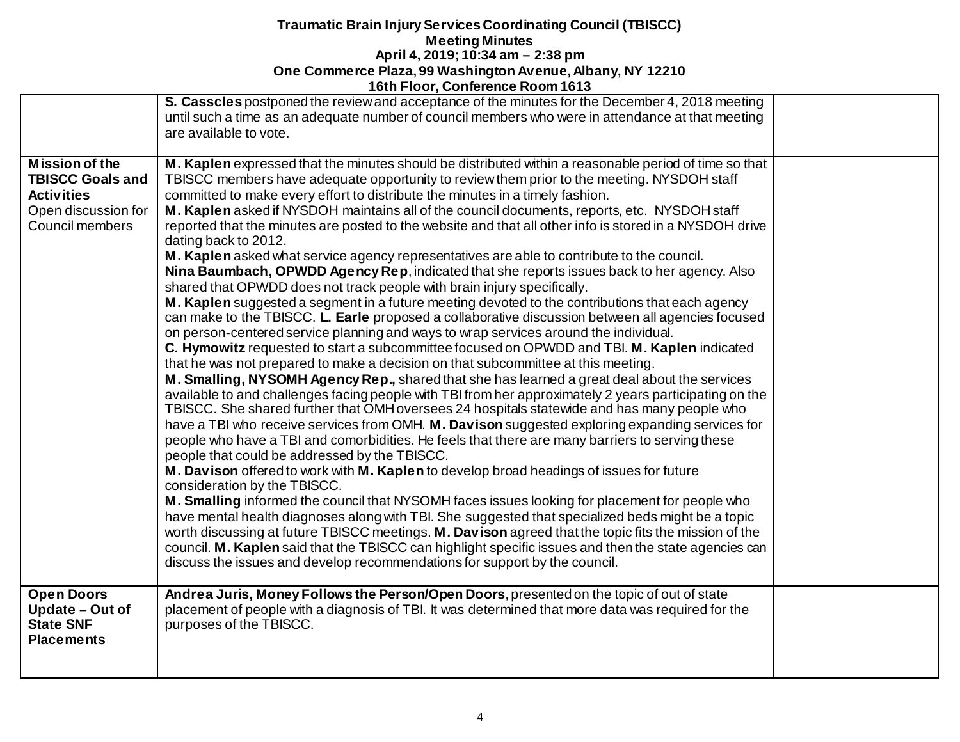|                                                                                                                 | S. Casscles postponed the review and acceptance of the minutes for the December 4, 2018 meeting<br>until such a time as an adequate number of council members who were in attendance at that meeting<br>are available to vote.                                                                                                                                                                                                                                                                                                                                                                                                                                                                                                                                                                                                                                                                                                                                                                                                                                                                                                                                                                                                                                                                                                                                                                                                                                                                                                                                                                                                                                                                                                                                                                                                                                                                                                                                                                                                                                                                                                                                                                                                                                                                                                                                                                                                                                                        |  |
|-----------------------------------------------------------------------------------------------------------------|---------------------------------------------------------------------------------------------------------------------------------------------------------------------------------------------------------------------------------------------------------------------------------------------------------------------------------------------------------------------------------------------------------------------------------------------------------------------------------------------------------------------------------------------------------------------------------------------------------------------------------------------------------------------------------------------------------------------------------------------------------------------------------------------------------------------------------------------------------------------------------------------------------------------------------------------------------------------------------------------------------------------------------------------------------------------------------------------------------------------------------------------------------------------------------------------------------------------------------------------------------------------------------------------------------------------------------------------------------------------------------------------------------------------------------------------------------------------------------------------------------------------------------------------------------------------------------------------------------------------------------------------------------------------------------------------------------------------------------------------------------------------------------------------------------------------------------------------------------------------------------------------------------------------------------------------------------------------------------------------------------------------------------------------------------------------------------------------------------------------------------------------------------------------------------------------------------------------------------------------------------------------------------------------------------------------------------------------------------------------------------------------------------------------------------------------------------------------------------------|--|
| <b>Mission of the</b><br><b>TBISCC Goals and</b><br><b>Activities</b><br>Open discussion for<br>Council members | M. Kaplen expressed that the minutes should be distributed within a reasonable period of time so that<br>TBISCC members have adequate opportunity to review them prior to the meeting. NYSDOH staff<br>committed to make every effort to distribute the minutes in a timely fashion.<br>M. Kaplen asked if NYSDOH maintains all of the council documents, reports, etc. NYSDOH staff<br>reported that the minutes are posted to the website and that all other info is stored in a NYSDOH drive<br>dating back to 2012.<br>M. Kaplen asked what service agency representatives are able to contribute to the council.<br>Nina Baumbach, OPWDD Agency Rep, indicated that she reports issues back to her agency. Also<br>shared that OPWDD does not track people with brain injury specifically.<br>M. Kaplen suggested a segment in a future meeting devoted to the contributions that each agency<br>can make to the TBISCC. L. Earle proposed a collaborative discussion between all agencies focused<br>on person-centered service planning and ways to wrap services around the individual.<br>C. Hymowitz requested to start a subcommittee focused on OPWDD and TBI. M. Kaplen indicated<br>that he was not prepared to make a decision on that subcommittee at this meeting.<br>M. Smalling, NYSOMH Agency Rep., shared that she has learned a great deal about the services<br>available to and challenges facing people with TBI from her approximately 2 years participating on the<br>TBISCC. She shared further that OMH oversees 24 hospitals statewide and has many people who<br>have a TBI who receive services from OMH. M. Davison suggested exploring expanding services for<br>people who have a TBI and comorbidities. He feels that there are many barriers to serving these<br>people that could be addressed by the TBISCC.<br>M. Davison offered to work with M. Kaplen to develop broad headings of issues for future<br>consideration by the TBISCC.<br>M. Smalling informed the council that NYSOMH faces issues looking for placement for people who<br>have mental health diagnoses along with TBI. She suggested that specialized beds might be a topic<br>worth discussing at future TBISCC meetings. M. Davison agreed that the topic fits the mission of the<br>council. M. Kaplen said that the TBISCC can highlight specific issues and then the state agencies can<br>discuss the issues and develop recommendations for support by the council. |  |
| <b>Open Doors</b><br>Update - Out of<br><b>State SNF</b><br><b>Placements</b>                                   | Andrea Juris, Money Follows the Person/Open Doors, presented on the topic of out of state<br>placement of people with a diagnosis of TBI. It was determined that more data was required for the<br>purposes of the TBISCC.                                                                                                                                                                                                                                                                                                                                                                                                                                                                                                                                                                                                                                                                                                                                                                                                                                                                                                                                                                                                                                                                                                                                                                                                                                                                                                                                                                                                                                                                                                                                                                                                                                                                                                                                                                                                                                                                                                                                                                                                                                                                                                                                                                                                                                                            |  |